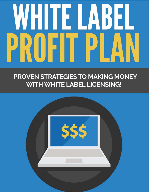# WHITE LABEL PROFIT P

## PROVEN STRATEGIES TO MAKING MONEY **WITH WHITE LABEL LICENSING!**

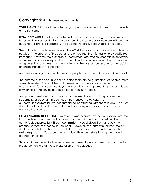## **Copyright ©** All rights reserved worldwide.

**YOUR RIGHTS:** This book is restricted to your personal use only. It does not come with any other rights.

**LEGAL DISCLAIMER:** This book is protected by international copyright law and may not be copied, reproduced, given away, or used to create derivative works without the publisher's expressed permission. The publisher retains full copyrights to this book.

The author has made every reasonable effort to be as accurate and complete as possible in the creation of this book and to ensure that the information provided is free from errors; however, the author/publisher/ reseller assumes no responsibility for errors, omissions, or contrary interpretation of the subject matter herein and does not warrant or represent at any time that the contents within are accurate due to the rapidly changing nature of the Internet.

Any perceived slights of specific persons, peoples, or organizations are unintentional.

The purpose of this book is to educate and there are no guarantees of income, sales or results implied. The publisher/author/reseller can therefore not be held accountable for any poor results you may attain when implementing the techniques or when following any guidelines set out for you in this book.

Any product, website, and company names mentioned in this report are the trademarks or copyright properties of their respective owners. The author/publisher/reseller are not associated or affiliated with them in any way. Nor does the referred product, website, and company names sponsor, endorse, or approve this product.

**COMPENSATION DISCLOSURE:** Unless otherwise expressly stated, you should assume that the links contained in this book may be affiliate links and either the author/publisher/reseller will earn commission if you click on them and buy the product/service mentioned in this book. However, the author/publisher/reseller disclaim any liability that may result from your involvement with any such websites/products. You should perform due diligence before buying mentioned products or services.

This constitutes the entire license agreement. Any disputes or terms not discussed in this agreement are at the sole discretion of the publisher.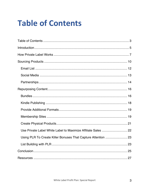# **Table of Contents**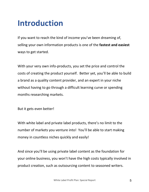# **Introduction**

If you want to reach the kind of income you've been dreaming of, selling your own information products is one of the **fastest and easiest** ways to get started.

With your very own info-products, you set the price and control the costs of creating the product yourself. Better yet, you'll be able to build a brand as a quality content provider, and an expert in your niche without having to go through a difficult learning curve or spending months researching markets.

But it gets even better!

With white label and private label products, there's no limit to the number of markets you venture into! You'll be able to start making money in countless niches quickly and easily!

And since you'll be using private label content as the foundation for your online business, you won't have the high costs typically involved in product creation, such as outsourcing content to seasoned writers.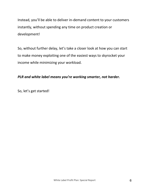Instead, you'll be able to deliver in-demand content to your customers instantly, without spending any time on product creation or development!

So, without further delay, let's take a closer look at how you can start to make money exploiting one of the easiest ways to skyrocket your income while minimizing your workload.

## *PLR and white label means you're working smarter, not harder.*

So, let's get started!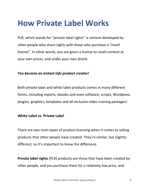## **How Private Label Works**

PLR, which stands for "private label rights" is content developed by other people who share rights with those who purchase a "resell license". In other words, you are given a license to resell content at your own prices, and under your own brand.

## *You become an instant info product creator!*

Both private label and white label products comes in many different forms, including reports, ebooks and even software, scripts, Wordpress plugins, graphics, templates and all-inclusive video training packages!

## **White Label vs. Private Label**

There are two main types of product licensing when it comes to selling products that other people have created. They're similar, but slightly different, so it's important to know the difference.

**Private label rights** (PLR) products are those that have been created by other people, and you purchase them for a relatively low price, and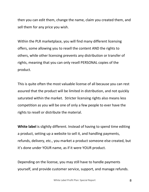then you can edit them, change the name, claim you created them, and sell them for any price you wish.

Within the PLR marketplace, you will find many different licensing offers, some allowing you to resell the content AND the rights to others, while other licensing prevents any distribution or transfer of rights, meaning that you can only resell PERSONAL copies of the product.

This is quite often the most valuable license of all because you can rest assured that the product will be limited in distribution, and not quickly saturated within the market. Stricter licensing rights also means less competition as you will be one of only a few people to ever have the rights to resell or distribute the material.

**White label** is slightly different. Instead of having to spend time editing a product, setting up a website to sell it, and handling payments, refunds, delivery, etc., you market a product someone else created, but it's done under YOUR name, as if it were YOUR product.

Depending on the license, you may still have to handle payments yourself, and provide customer service, support, and manage refunds.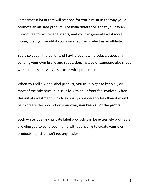Sometimes a lot of that will be done for you, similar in the way you'd promote an affiliate product. The main difference is that you pay an upfront fee for white label rights, and you can generate a lot more money than you would if you promoted the product as an affiliate.

You also get all the benefits of having your own product, especially building your own brand and reputation, instead of someone else's, but without all the hassles associated with product creation.

When you sell a white label product, you usually get to keep all, or most of the sale price, but usually with an upfront fee involved. After this initial investment, which is usually considerably less than it would be to create the product on your own, **you keep all of the profits**.

Both white label and private label products can be extremely profitable, allowing you to build your name without having to create your own products. It just doesn't get any easier!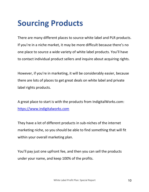# **Sourcing Products**

There are many different places to source white label and PLR products. If you're in a niche market, it may be more difficult because there's no one place to source a wide variety of white label products. You'll have to contact individual product sellers and inquire about acquiring rights.

However, if you're in marketing, it will be considerably easier, because there are lots of places to get great deals on white label and private label rights products.

A great place to start is with the products from IndigitalWorks.com: https://www.indigitalworks.com

They have a lot of different products in sub-niches of the internet marketing niche, so you should be able to find something that will fit within your overall marketing plan.

You'll pay just one upfront fee, and then you can sell the products under your name, and keep 100% of the profits.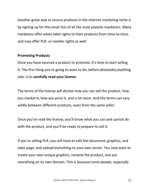Another great way to source products in the internet marketing niche is by signing up for the email lists of all the most popular marketers. Many marketers offer white label rights to their products from time-to-time, and may offer PLR, or reseller rights as well.

### **Promoting Products**

Once you have sourced a product to promote, it's time to start selling it. The first thing you're going to want to do, before absolutely anything else, is to **carefully read your license**.

The terms of the license will dictate how you can sell the product, how you market it, how you price it, and a lot more. And the terms can vary wildly between different products, even from the same seller.

Once you've read the license, you'll know what you can and cannot do with the product, and you'll be ready to prepare to sell it.

If you're selling PLR, you will have to edit the document, graphics, and sales page, and upload everything to your own server. You may want to create your own unique graphics, rename the product, and put everything on its own domain. This is because some people, especially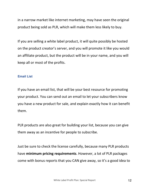in a narrow market like internet marketing, may have seen the original product being sold as PLR, which will make them less likely to buy.

If you are selling a white label product, it will quite possibly be hosted on the product creator's server, and you will promote it like you would an affiliate product, but the product will be in your name, and you will keep all or most of the profits.

#### **Email List**

If you have an email list, that will be your best resource for promoting your product. You can send out an email to let your subscribers know you have a new product for sale, and explain exactly how it can benefit them.

PLR products are also great for building your list, because you can give them away as an incentive for people to subscribe.

Just be sure to check the license carefully, because many PLR products have **minimum pricing requirements**. However, a lot of PLR packages come with bonus reports that you CAN give away, so it's a good idea to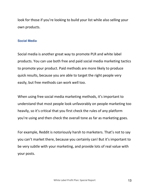look for those if you're looking to build your list while also selling your own products.

#### **Social Media**

Social media is another great way to promote PLR and white label products. You can use both free and paid social media marketing tactics to promote your product. Paid methods are more likely to produce quick results, because you are able to target the right people very easily, but free methods can work well too.

When using free social media marketing methods, it's important to understand that most people look unfavorably on people marketing too heavily, so it's critical that you first check the rules of any platform you're using and then check the overall tone as far as marketing goes.

For example, Reddit is notoriously harsh to marketers. That's not to say you can't market there, because you certainly can! But it's important to be very subtle with your marketing, and provide lots of real value with your posts.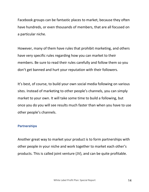Facebook groups can be fantastic places to market, because they often have hundreds, or even thousands of members, that are all focused on a particular niche.

However, many of them have rules that prohibit marketing, and others have very specific rules regarding how you can market to their members. Be sure to read their rules carefully and follow them so you don't get banned and hurt your reputation with their followers.

It's best, of course, to build your own social media following on various sites. Instead of marketing to other people's channels, you can simply market to your own. It will take some time to build a following, but once you do you will see results much faster than when you have to use other people's channels.

#### **Partnerships**

Another great way to market your product is to form partnerships with other people in your niche and work together to market each other's products. This is called joint venture (JV), and can be quite profitable.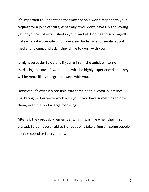It's important to understand that most people won't respond to your request for a joint venture, especially if you don't have a big following yet, or you're not established in your market. Don't get discouraged! Instead, contact people who have a similar list size, or similar social media following, and ask if they'd like to work with you.

It might be easier to do this if you're in a niche outside internet marketing, because fewer people with be highly experienced and they will be more likely to agree to work with you.

However, it's certainly possible that some people, even in internet marketing, will agree to work with you if you have something to offer them, even if it isn't a large following.

After all, they probably remember what it was like when they first started. So don't be afraid to try, but don't take offense if some people don't respond or turn you down.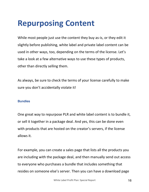# **Repurposing Content**

While most people just use the content they buy as-is, or they edit it slightly before publishing, white label and private label content can be used in other ways, too, depending on the terms of the license. Let's take a look at a few alternative ways to use these types of products, other than directly selling them.

As always, be sure to check the terms of your license carefully to make sure you don't accidentally violate it!

#### **Bundles**

One great way to repurpose PLR and white label content is to bundle it, or sell it together in a package deal. And yes, this can be done even with products that are hosted on the creator's servers, if the license allows it.

For example, you can create a sales page that lists all the products you are including with the package deal, and then manually send out access to everyone who purchases a bundle that includes something that resides on someone else's server. Then you can have a download page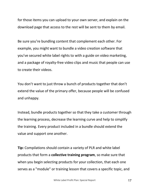for those items you can upload to your own server, and explain on the download page that access to the rest will be sent to them by email.

Be sure you're bundling content that complement each other. For example, you might want to bundle a video creation software that you've secured white label rights to with a guide on video marketing, and a package of royalty-free video clips and music that people can use to create their videos.

You don't want to just throw a bunch of products together that don't extend the value of the primary offer, because people will be confused and unhappy.

Instead, bundle products together so that they take a customer through the learning process, decrease the learning curve and help to simplify the training. Every product included in a bundle should extend the value and support one another.

**Tip:** Compilations should contain a variety of PLR and white label products that form a **collective training program**, so make sure that when you begin selecting products for your collection, that each one serves as a "module" or training lesson that covers a specific topic, and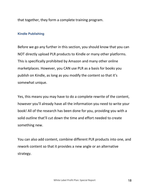that together, they form a complete training program.

#### **Kindle Publishing**

Before we go any further in this section, you should know that you can NOT directly upload PLR products to Kindle or many other platforms. This is specifically prohibited by Amazon and many other online marketplaces. However, you CAN use PLR as a basis for books you publish on Kindle, as long as you modify the content so that it's somewhat unique.

Yes, this means you may have to do a complete rewrite of the content, however you'll already have all the information you need to write your book! All of the research has been done for you, providing you with a solid outline that'll cut down the time and effort needed to create something new.

You can also add content, combine different PLR products into one, and rework content so that it provides a new angle or an alternative strategy.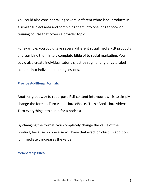You could also consider taking several different white label products in a similar subject area and combining them into one longer book or training course that covers a broader topic.

For example, you could take several different social media PLR products and combine them into a complete bible of to social marketing. You could also create individual tutorials just by segmenting private label content into individual training lessons.

#### **Provide Additional Formats**

Another great way to repurpose PLR content into your own is to simply change the format. Turn videos into eBooks. Turn eBooks into videos. Turn everything into audio for a podcast.

By changing the format, you completely change the value of the product, because no one else will have that exact product. In addition, it immediately increases the value.

#### **Membership Sites**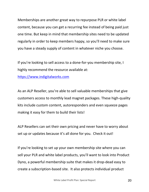Memberships are another great way to repurpose PLR or white label content, because you can get a recurring fee instead of being paid just one time. But keep in mind that membership sites need to be updated regularly in order to keep members happy, so you'll need to make sure you have a steady supply of content in whatever niche you choose.

If you're looking to sell access to a done-for-you membership site, I highly recommend the resource available at:

https://www.indigitalworks.com

As an ALP Reseller, you're able to sell valuable memberships that give customers access to monthly lead magnet packages. These high-quality kits include custom content, autoresponders and even squeeze pages making it easy for them to build their lists!

ALP Resellers can set their own pricing and never have to worry about set up or updates because it's all done for you. Check it out!

If you're looking to set up your own membership site where you can sell your PLR and white label products, you'll want to look into Product Dyno, a powerful membership suite that makes it drop-dead easy to create a subscription-based site. It also protects individual product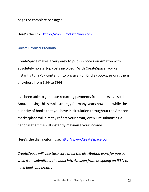pages or complete packages.

Here's the link: http://www.ProductDyno.com

#### **Create Physical Products**

CreateSpace makes it very easy to publish books on Amazon with absolutely no startup costs involved. With CreateSpace, you can instantly turn PLR content into physical (or Kindle) books, pricing them anywhere from \$.99 to \$99!

I've been able to generate recurring payments from books I've sold on Amazon using this simple strategy for many years now, and while the quantity of books that you have in circulation throughout the Amazon marketplace will directly reflect your profit, even just submitting a handful at a time will instantly maximize your income!

Here's the distributor I use: http://www.CreateSpace.com

*CreateSpace will also take care of all the distribution work for you as well, from submitting the book into Amazon from assigning an ISBN to each book you create.*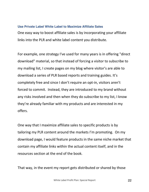#### **Use Private Label White Label to Maximize Affiliate Sales**

One easy way to boost affiliate sales is by incorporating your affiliate links into the PLR and white label content you distribute.

For example, one strategy I've used for many years is in offering "direct download" material, so that instead of forcing a visitor to subscribe to my mailing list, I create pages on my blog where visitor's are able to download a series of PLR based reports and training guides. It's completely free and since I don't require an opt-in, visitors aren't forced to commit. Instead, they are introduced to my brand without any risks involved and then when they do subscribe to my list, I know they're already familiar with my products and are interested in my offers.

One way that I maximize affiliate sales to specific products is by tailoring my PLR content around the markets I'm promoting. On my download page, I would feature products in the same niche market that contain my affiliate links within the actual content itself, and in the resources section at the end of the book.

That way, in the event my report gets distributed or shared by those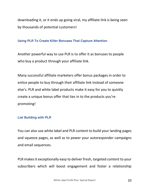downloading it, or it ends up going viral, my affiliate link is being seen by thousands of potential customers!

#### **Using PLR To Create Killer Bonuses That Capture Attention**

Another powerful way to use PLR is to offer it as bonuses to people who buy a product through your affiliate link.

Many successful affiliate marketers offer bonus packages in order to entice people to buy through their affiliate link instead of someone else's. PLR and white label products make it easy for you to quickly create a unique bonus offer that ties in to the products you're promoting!

#### **List Building with PLR**

You can also use white label and PLR content to build your landing pages and squeeze pages, as well as to power your autoresponder campaigns and email sequences.

PLR makes it exceptionally easy to deliver fresh, targeted content to your subscribers which will boost engagement and foster a relationship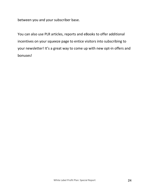between you and your subscriber base.

You can also use PLR articles, reports and eBooks to offer additional incentives on your squeeze page to entice visitors into subscribing to your newsletter! It's a great way to come up with new opt-in offers and bonuses!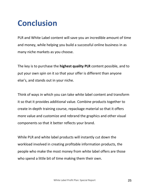# **Conclusion**

PLR and White Label content will save you an incredible amount of time and money, while helping you build a successful online business in as many niche markets as you choose.

The key is to purchase the **highest quality PLR** content possible, and to put your own spin on it so that your offer is different than anyone else's, and stands out in your niche.

Think of ways in which you can take white label content and transform it so that it provides additional value. Combine products together to create in-depth training course, repackage material so that it offers more value and customize and rebrand the graphics and other visual components so that it better reflects your brand.

While PLR and white label products will instantly cut down the workload involved in creating profitable information products, the people who make the most money from white label offers are those who spend a little bit of time making them their own.